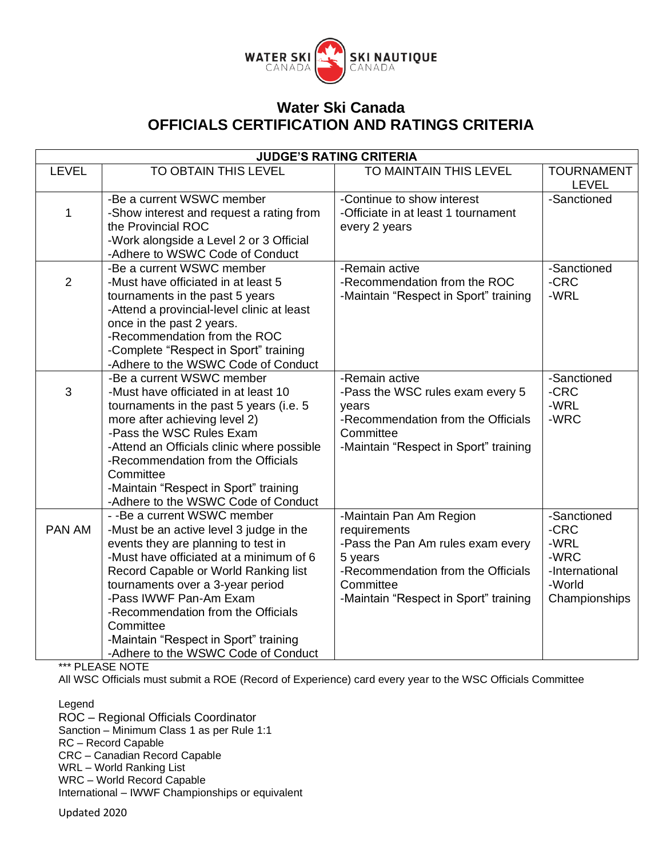

| <b>JUDGE'S RATING CRITERIA</b> |                                                                                                                                                                                                                                                                                                                                                                                                    |                                                                                                                                                                                     |                                                                                  |
|--------------------------------|----------------------------------------------------------------------------------------------------------------------------------------------------------------------------------------------------------------------------------------------------------------------------------------------------------------------------------------------------------------------------------------------------|-------------------------------------------------------------------------------------------------------------------------------------------------------------------------------------|----------------------------------------------------------------------------------|
| <b>LEVEL</b>                   | TO OBTAIN THIS LEVEL                                                                                                                                                                                                                                                                                                                                                                               | TO MAINTAIN THIS LEVEL                                                                                                                                                              | <b>TOURNAMENT</b><br><b>LEVEL</b>                                                |
| 1                              | -Be a current WSWC member<br>-Show interest and request a rating from<br>the Provincial ROC<br>-Work alongside a Level 2 or 3 Official<br>-Adhere to WSWC Code of Conduct                                                                                                                                                                                                                          | -Continue to show interest<br>-Officiate in at least 1 tournament<br>every 2 years                                                                                                  | -Sanctioned                                                                      |
| $\overline{2}$                 | -Be a current WSWC member<br>-Must have officiated in at least 5<br>tournaments in the past 5 years<br>-Attend a provincial-level clinic at least<br>once in the past 2 years.<br>-Recommendation from the ROC<br>-Complete "Respect in Sport" training<br>-Adhere to the WSWC Code of Conduct                                                                                                     | -Remain active<br>-Recommendation from the ROC<br>-Maintain "Respect in Sport" training                                                                                             | -Sanctioned<br>-CRC<br>-WRL                                                      |
| 3                              | -Be a current WSWC member<br>-Must have officiated in at least 10<br>tournaments in the past 5 years (i.e. 5<br>more after achieving level 2)<br>-Pass the WSC Rules Exam<br>-Attend an Officials clinic where possible<br>-Recommendation from the Officials<br>Committee<br>-Maintain "Respect in Sport" training<br>-Adhere to the WSWC Code of Conduct                                         | -Remain active<br>-Pass the WSC rules exam every 5<br>years<br>-Recommendation from the Officials<br>Committee<br>-Maintain "Respect in Sport" training                             | -Sanctioned<br>-CRC<br>-WRL<br>-WRC                                              |
| PAN AM                         | - - Be a current WSWC member<br>-Must be an active level 3 judge in the<br>events they are planning to test in<br>-Must have officiated at a minimum of 6<br>Record Capable or World Ranking list<br>tournaments over a 3-year period<br>-Pass IWWF Pan-Am Exam<br>-Recommendation from the Officials<br>Committee<br>-Maintain "Respect in Sport" training<br>-Adhere to the WSWC Code of Conduct | -Maintain Pan Am Region<br>requirements<br>-Pass the Pan Am rules exam every<br>5 years<br>-Recommendation from the Officials<br>Committee<br>-Maintain "Respect in Sport" training | -Sanctioned<br>-CRC<br>-WRL<br>-WRC<br>-International<br>-World<br>Championships |

\*\*\* PLEASE NOTE

All WSC Officials must submit a ROE (Record of Experience) card every year to the WSC Officials Committee

Legend

ROC – Regional Officials Coordinator Sanction – Minimum Class 1 as per Rule 1:1 RC – Record Capable CRC – Canadian Record Capable WRL – World Ranking List WRC – World Record Capable International – IWWF Championships or equivalent

Updated 2020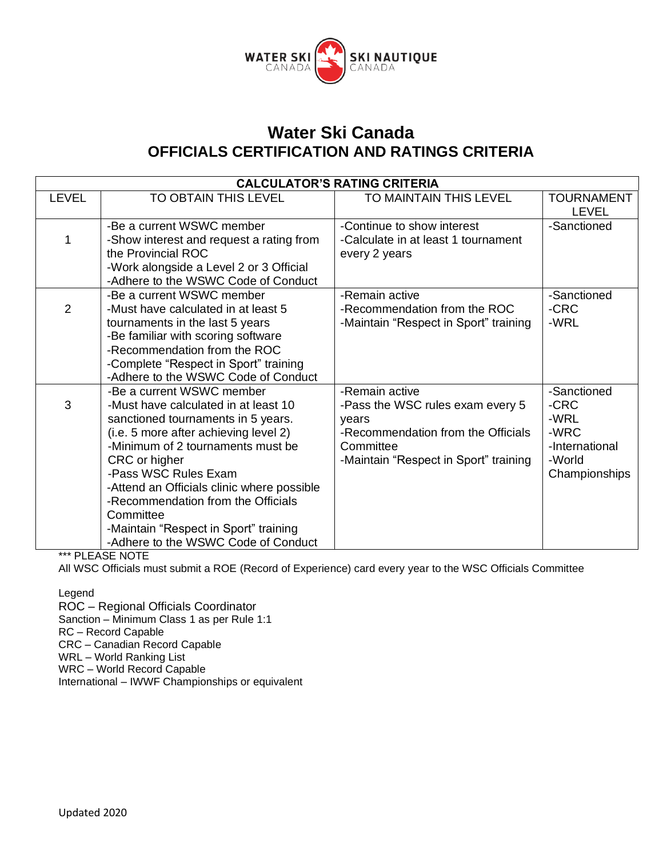

| <b>CALCULATOR'S RATING CRITERIA</b> |                                                                            |                                       |                          |
|-------------------------------------|----------------------------------------------------------------------------|---------------------------------------|--------------------------|
| <b>LEVEL</b>                        | <b>TO OBTAIN THIS LEVEL</b>                                                | TO MAINTAIN THIS LEVEL                | <b>TOURNAMENT</b>        |
|                                     |                                                                            |                                       | <b>LEVEL</b>             |
|                                     | -Be a current WSWC member                                                  | -Continue to show interest            | -Sanctioned              |
|                                     | -Show interest and request a rating from                                   | -Calculate in at least 1 tournament   |                          |
|                                     | the Provincial ROC                                                         | every 2 years                         |                          |
|                                     | -Work alongside a Level 2 or 3 Official                                    |                                       |                          |
|                                     | -Adhere to the WSWC Code of Conduct                                        |                                       |                          |
|                                     | -Be a current WSWC member                                                  | -Remain active                        | -Sanctioned              |
| $\overline{2}$                      | -Must have calculated in at least 5                                        | -Recommendation from the ROC          | -CRC                     |
|                                     | tournaments in the last 5 years                                            | -Maintain "Respect in Sport" training | -WRL                     |
|                                     | -Be familiar with scoring software                                         |                                       |                          |
|                                     | -Recommendation from the ROC                                               |                                       |                          |
|                                     | -Complete "Respect in Sport" training                                      |                                       |                          |
|                                     | -Adhere to the WSWC Code of Conduct                                        |                                       |                          |
|                                     | -Be a current WSWC member                                                  | -Remain active                        | -Sanctioned              |
| 3                                   | -Must have calculated in at least 10                                       | -Pass the WSC rules exam every 5      | -CRC                     |
|                                     | sanctioned tournaments in 5 years.                                         | vears                                 | -WRL                     |
|                                     | (i.e. 5 more after achieving level 2)<br>-Minimum of 2 tournaments must be | -Recommendation from the Officials    | -WRC                     |
|                                     |                                                                            | Committee                             | -International<br>-World |
|                                     | CRC or higher<br>-Pass WSC Rules Exam                                      | -Maintain "Respect in Sport" training |                          |
|                                     | -Attend an Officials clinic where possible                                 |                                       | Championships            |
|                                     | -Recommendation from the Officials                                         |                                       |                          |
|                                     | Committee                                                                  |                                       |                          |
|                                     | -Maintain "Respect in Sport" training                                      |                                       |                          |
|                                     | -Adhere to the WSWC Code of Conduct                                        |                                       |                          |
|                                     |                                                                            |                                       |                          |

\*\*\* PLEASE NOTE

All WSC Officials must submit a ROE (Record of Experience) card every year to the WSC Officials Committee

Legend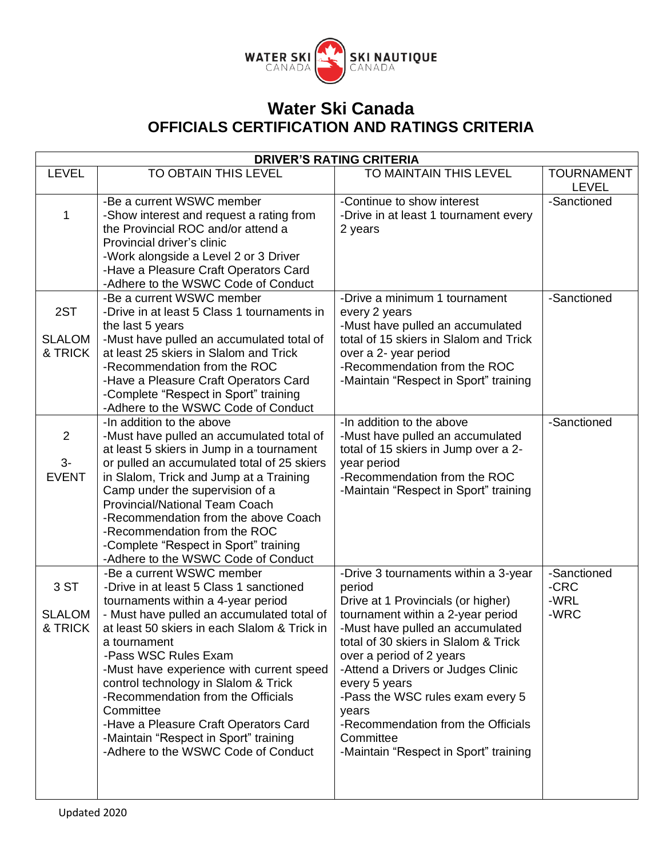

| <b>DRIVER'S RATING CRITERIA</b>  |                                                                                                                                                                                                                                                                                                                                                                                                                                                                                                                  |                                                                                                                                                                                                                                                                                                                                                                                                                                   |                                     |  |
|----------------------------------|------------------------------------------------------------------------------------------------------------------------------------------------------------------------------------------------------------------------------------------------------------------------------------------------------------------------------------------------------------------------------------------------------------------------------------------------------------------------------------------------------------------|-----------------------------------------------------------------------------------------------------------------------------------------------------------------------------------------------------------------------------------------------------------------------------------------------------------------------------------------------------------------------------------------------------------------------------------|-------------------------------------|--|
| <b>LEVEL</b>                     | TO OBTAIN THIS LEVEL                                                                                                                                                                                                                                                                                                                                                                                                                                                                                             | TO MAINTAIN THIS LEVEL                                                                                                                                                                                                                                                                                                                                                                                                            | <b>TOURNAMENT</b><br><b>LEVEL</b>   |  |
| 1                                | -Be a current WSWC member<br>-Show interest and request a rating from<br>the Provincial ROC and/or attend a<br>Provincial driver's clinic<br>-Work alongside a Level 2 or 3 Driver<br>-Have a Pleasure Craft Operators Card<br>-Adhere to the WSWC Code of Conduct                                                                                                                                                                                                                                               | -Continue to show interest<br>-Drive in at least 1 tournament every<br>2 years                                                                                                                                                                                                                                                                                                                                                    | -Sanctioned                         |  |
| 2ST<br><b>SLALOM</b><br>& TRICK  | -Be a current WSWC member<br>-Drive in at least 5 Class 1 tournaments in<br>the last 5 years<br>-Must have pulled an accumulated total of<br>at least 25 skiers in Slalom and Trick<br>-Recommendation from the ROC<br>-Have a Pleasure Craft Operators Card<br>-Complete "Respect in Sport" training<br>-Adhere to the WSWC Code of Conduct                                                                                                                                                                     | -Drive a minimum 1 tournament<br>every 2 years<br>-Must have pulled an accumulated<br>total of 15 skiers in Slalom and Trick<br>over a 2- year period<br>-Recommendation from the ROC<br>-Maintain "Respect in Sport" training                                                                                                                                                                                                    | -Sanctioned                         |  |
| 2<br>$3-$<br><b>EVENT</b>        | -In addition to the above<br>-Must have pulled an accumulated total of<br>at least 5 skiers in Jump in a tournament<br>or pulled an accumulated total of 25 skiers<br>in Slalom, Trick and Jump at a Training<br>Camp under the supervision of a<br><b>Provincial/National Team Coach</b><br>-Recommendation from the above Coach<br>-Recommendation from the ROC<br>-Complete "Respect in Sport" training<br>-Adhere to the WSWC Code of Conduct                                                                | -In addition to the above<br>-Must have pulled an accumulated<br>total of 15 skiers in Jump over a 2-<br>year period<br>-Recommendation from the ROC<br>-Maintain "Respect in Sport" training                                                                                                                                                                                                                                     | -Sanctioned                         |  |
| 3 ST<br><b>SLALOM</b><br>& TRICK | -Be a current WSWC member<br>-Drive in at least 5 Class 1 sanctioned<br>tournaments within a 4-year period<br>- Must have pulled an accumulated total of<br>at least 50 skiers in each Slalom & Trick in<br>a tournament<br>-Pass WSC Rules Exam<br>-Must have experience with current speed<br>control technology in Slalom & Trick<br>-Recommendation from the Officials<br>Committee<br>-Have a Pleasure Craft Operators Card<br>-Maintain "Respect in Sport" training<br>-Adhere to the WSWC Code of Conduct | -Drive 3 tournaments within a 3-year<br>period<br>Drive at 1 Provincials (or higher)<br>tournament within a 2-year period<br>-Must have pulled an accumulated<br>total of 30 skiers in Slalom & Trick<br>over a period of 2 years<br>-Attend a Drivers or Judges Clinic<br>every 5 years<br>-Pass the WSC rules exam every 5<br>years<br>-Recommendation from the Officials<br>Committee<br>-Maintain "Respect in Sport" training | -Sanctioned<br>-CRC<br>-WRL<br>-WRC |  |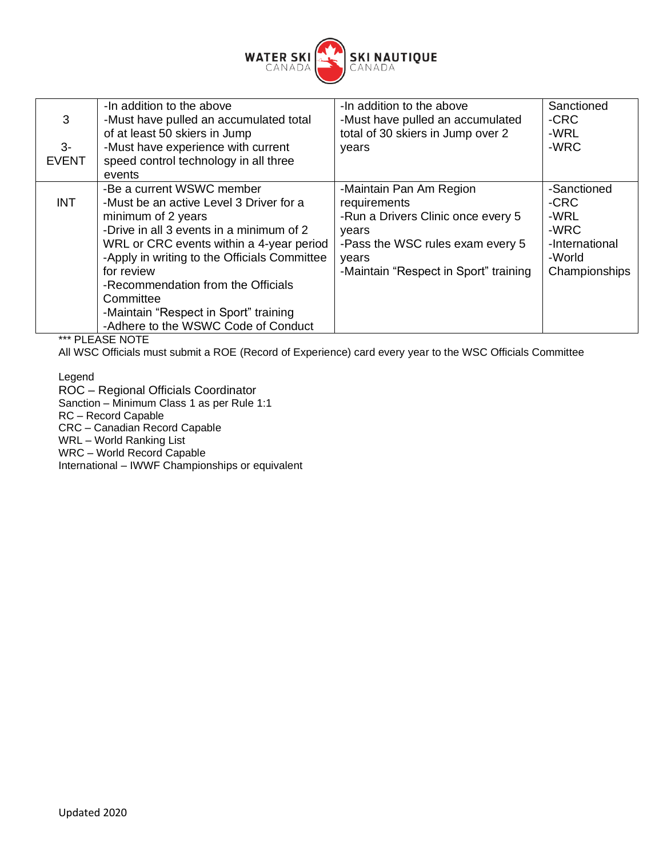

| 3<br>$3-$<br><b>EVENT</b> | -In addition to the above<br>-Must have pulled an accumulated total<br>of at least 50 skiers in Jump<br>-Must have experience with current<br>speed control technology in all three<br>events                                                                                                                                                                                       | -In addition to the above<br>-Must have pulled an accumulated<br>total of 30 skiers in Jump over 2<br>years                                                                  | Sanctioned<br>-CRC<br>-WRL<br>-WRC                                               |
|---------------------------|-------------------------------------------------------------------------------------------------------------------------------------------------------------------------------------------------------------------------------------------------------------------------------------------------------------------------------------------------------------------------------------|------------------------------------------------------------------------------------------------------------------------------------------------------------------------------|----------------------------------------------------------------------------------|
| <b>INT</b>                | -Be a current WSWC member<br>-Must be an active Level 3 Driver for a<br>minimum of 2 years<br>-Drive in all 3 events in a minimum of 2<br>WRL or CRC events within a 4-year period<br>-Apply in writing to the Officials Committee<br>for review<br>-Recommendation from the Officials<br>Committee<br>-Maintain "Respect in Sport" training<br>-Adhere to the WSWC Code of Conduct | -Maintain Pan Am Region<br>requirements<br>-Run a Drivers Clinic once every 5<br>vears<br>-Pass the WSC rules exam every 5<br>years<br>-Maintain "Respect in Sport" training | -Sanctioned<br>-CRC<br>-WRL<br>-WRC<br>-International<br>-World<br>Championships |

\*\*\* PLEASE NOTE

All WSC Officials must submit a ROE (Record of Experience) card every year to the WSC Officials Committee

Legend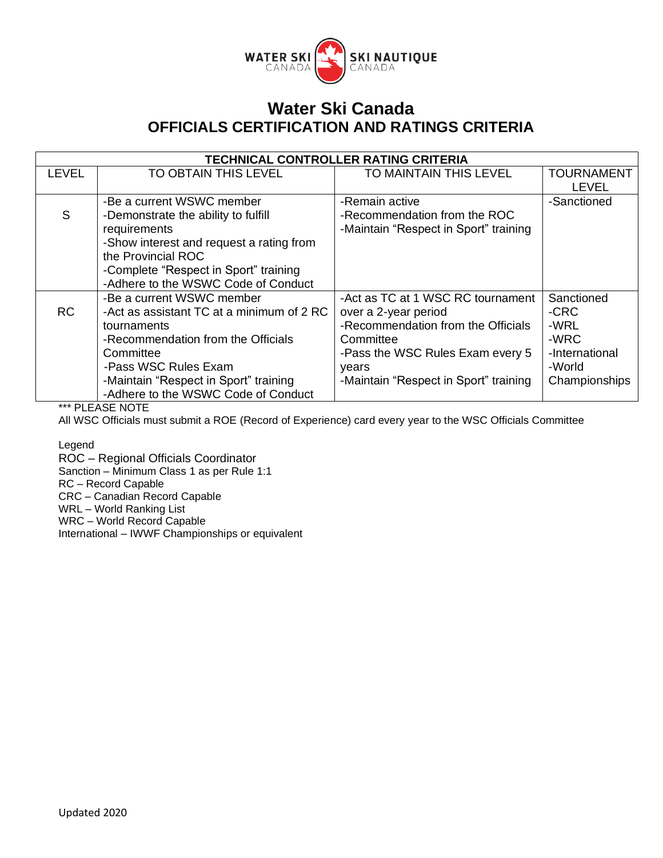

| <b>TECHNICAL CONTROLLER RATING CRITERIA</b> |                                           |                                       |                   |
|---------------------------------------------|-------------------------------------------|---------------------------------------|-------------------|
| LEVEL                                       | <b>TO OBTAIN THIS LEVEL</b>               | TO MAINTAIN THIS LEVEL                | <b>TOURNAMENT</b> |
|                                             |                                           |                                       | <b>LEVEL</b>      |
|                                             | -Be a current WSWC member                 | -Remain active                        | -Sanctioned       |
| S                                           | -Demonstrate the ability to fulfill       | -Recommendation from the ROC          |                   |
|                                             | requirements                              | -Maintain "Respect in Sport" training |                   |
|                                             | -Show interest and request a rating from  |                                       |                   |
|                                             | the Provincial ROC                        |                                       |                   |
|                                             | -Complete "Respect in Sport" training     |                                       |                   |
|                                             | -Adhere to the WSWC Code of Conduct       |                                       |                   |
|                                             | -Be a current WSWC member                 | -Act as TC at 1 WSC RC tournament     | Sanctioned        |
| <b>RC</b>                                   | -Act as assistant TC at a minimum of 2 RC | over a 2-year period                  | -CRC              |
|                                             | tournaments                               | -Recommendation from the Officials    | -WRL              |
|                                             | -Recommendation from the Officials        | Committee                             | -WRC              |
|                                             | Committee                                 | -Pass the WSC Rules Exam every 5      | -International    |
|                                             | -Pass WSC Rules Exam                      | years                                 | -World            |
|                                             | -Maintain "Respect in Sport" training     | -Maintain "Respect in Sport" training | Championships     |
|                                             | -Adhere to the WSWC Code of Conduct       |                                       |                   |

\*\*\* PLEASE NOTE

All WSC Officials must submit a ROE (Record of Experience) card every year to the WSC Officials Committee

Legend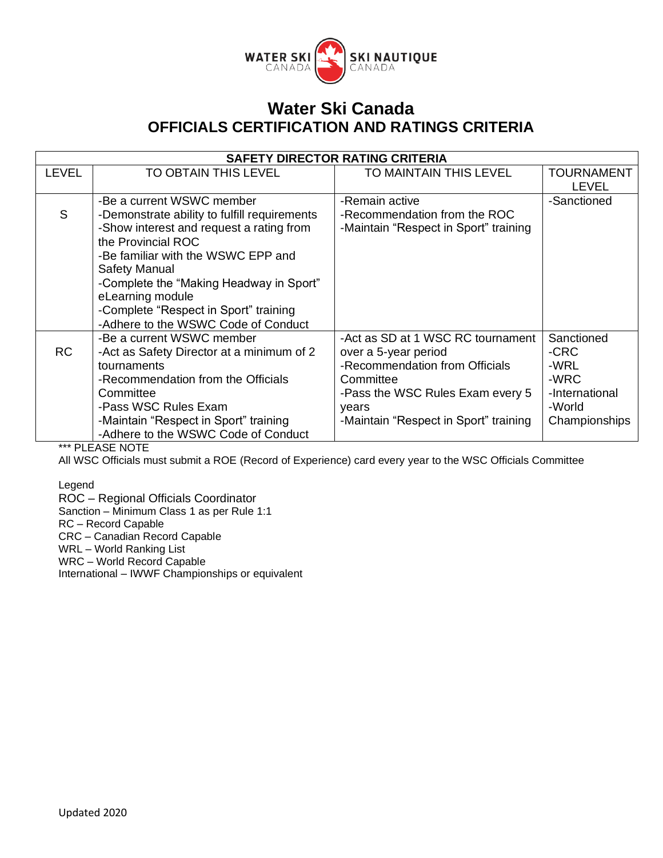

| <b>SAFETY DIRECTOR RATING CRITERIA</b> |                                                                                                                                                                                                                                                                                                                                                   |                                                                                                                                                                                                |                                                                                 |
|----------------------------------------|---------------------------------------------------------------------------------------------------------------------------------------------------------------------------------------------------------------------------------------------------------------------------------------------------------------------------------------------------|------------------------------------------------------------------------------------------------------------------------------------------------------------------------------------------------|---------------------------------------------------------------------------------|
| <b>LEVEL</b>                           | TO OBTAIN THIS LEVEL                                                                                                                                                                                                                                                                                                                              | TO MAINTAIN THIS LEVEL                                                                                                                                                                         | <b>TOURNAMENT</b><br><b>LEVEL</b>                                               |
| S                                      | -Be a current WSWC member<br>-Demonstrate ability to fulfill requirements<br>-Show interest and request a rating from<br>the Provincial ROC<br>-Be familiar with the WSWC EPP and<br>Safety Manual<br>-Complete the "Making Headway in Sport"<br>eLearning module<br>-Complete "Respect in Sport" training<br>-Adhere to the WSWC Code of Conduct | -Remain active<br>-Recommendation from the ROC<br>-Maintain "Respect in Sport" training                                                                                                        | -Sanctioned                                                                     |
| <b>RC</b>                              | -Be a current WSWC member<br>- Act as Safety Director at a minimum of 2<br>tournaments<br>-Recommendation from the Officials<br>Committee<br>-Pass WSC Rules Exam<br>-Maintain "Respect in Sport" training<br>-Adhere to the WSWC Code of Conduct                                                                                                 | -Act as SD at 1 WSC RC tournament<br>over a 5-year period<br>-Recommendation from Officials<br>Committee<br>-Pass the WSC Rules Exam every 5<br>years<br>-Maintain "Respect in Sport" training | Sanctioned<br>-CRC<br>-WRL<br>-WRC<br>-International<br>-World<br>Championships |

\*\*\* PLEASE NOTE

All WSC Officials must submit a ROE (Record of Experience) card every year to the WSC Officials Committee

Legend